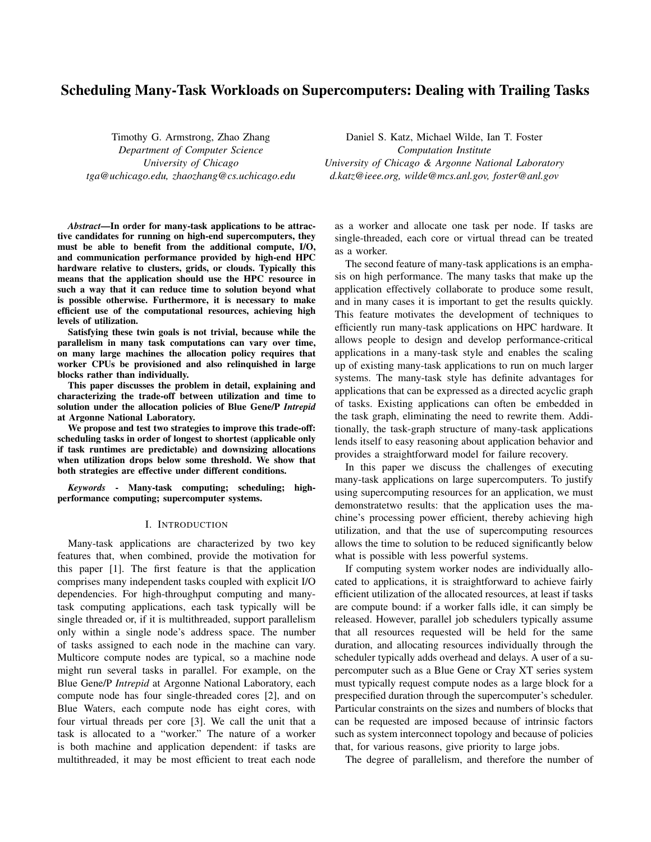# Scheduling Many-Task Workloads on Supercomputers: Dealing with Trailing Tasks

Timothy G. Armstrong, Zhao Zhang *Department of Computer Science University of Chicago tga@uchicago.edu, zhaozhang@cs.uchicago.edu*

*Abstract*—In order for many-task applications to be attractive candidates for running on high-end supercomputers, they must be able to benefit from the additional compute, I/O, and communication performance provided by high-end HPC hardware relative to clusters, grids, or clouds. Typically this means that the application should use the HPC resource in such a way that it can reduce time to solution beyond what is possible otherwise. Furthermore, it is necessary to make efficient use of the computational resources, achieving high levels of utilization.

Satisfying these twin goals is not trivial, because while the parallelism in many task computations can vary over time, on many large machines the allocation policy requires that worker CPUs be provisioned and also relinquished in large blocks rather than individually.

This paper discusses the problem in detail, explaining and characterizing the trade-off between utilization and time to solution under the allocation policies of Blue Gene/P *Intrepid* at Argonne National Laboratory.

We propose and test two strategies to improve this trade-off: scheduling tasks in order of longest to shortest (applicable only if task runtimes are predictable) and downsizing allocations when utilization drops below some threshold. We show that both strategies are effective under different conditions.

*Keywords* - Many-task computing; scheduling; highperformance computing; supercomputer systems.

#### I. INTRODUCTION

Many-task applications are characterized by two key features that, when combined, provide the motivation for this paper [1]. The first feature is that the application comprises many independent tasks coupled with explicit I/O dependencies. For high-throughput computing and manytask computing applications, each task typically will be single threaded or, if it is multithreaded, support parallelism only within a single node's address space. The number of tasks assigned to each node in the machine can vary. Multicore compute nodes are typical, so a machine node might run several tasks in parallel. For example, on the Blue Gene/P *Intrepid* at Argonne National Laboratory, each compute node has four single-threaded cores [2], and on Blue Waters, each compute node has eight cores, with four virtual threads per core [3]. We call the unit that a task is allocated to a "worker." The nature of a worker is both machine and application dependent: if tasks are multithreaded, it may be most efficient to treat each node

Daniel S. Katz, Michael Wilde, Ian T. Foster *Computation Institute University of Chicago & Argonne National Laboratory d.katz@ieee.org, wilde@mcs.anl.gov, foster@anl.gov*

as a worker and allocate one task per node. If tasks are single-threaded, each core or virtual thread can be treated as a worker.

The second feature of many-task applications is an emphasis on high performance. The many tasks that make up the application effectively collaborate to produce some result, and in many cases it is important to get the results quickly. This feature motivates the development of techniques to efficiently run many-task applications on HPC hardware. It allows people to design and develop performance-critical applications in a many-task style and enables the scaling up of existing many-task applications to run on much larger systems. The many-task style has definite advantages for applications that can be expressed as a directed acyclic graph of tasks. Existing applications can often be embedded in the task graph, eliminating the need to rewrite them. Additionally, the task-graph structure of many-task applications lends itself to easy reasoning about application behavior and provides a straightforward model for failure recovery.

In this paper we discuss the challenges of executing many-task applications on large supercomputers. To justify using supercomputing resources for an application, we must demonstratetwo results: that the application uses the machine's processing power efficient, thereby achieving high utilization, and that the use of supercomputing resources allows the time to solution to be reduced significantly below what is possible with less powerful systems.

If computing system worker nodes are individually allocated to applications, it is straightforward to achieve fairly efficient utilization of the allocated resources, at least if tasks are compute bound: if a worker falls idle, it can simply be released. However, parallel job schedulers typically assume that all resources requested will be held for the same duration, and allocating resources individually through the scheduler typically adds overhead and delays. A user of a supercomputer such as a Blue Gene or Cray XT series system must typically request compute nodes as a large block for a prespecified duration through the supercomputer's scheduler. Particular constraints on the sizes and numbers of blocks that can be requested are imposed because of intrinsic factors such as system interconnect topology and because of policies that, for various reasons, give priority to large jobs.

The degree of parallelism, and therefore the number of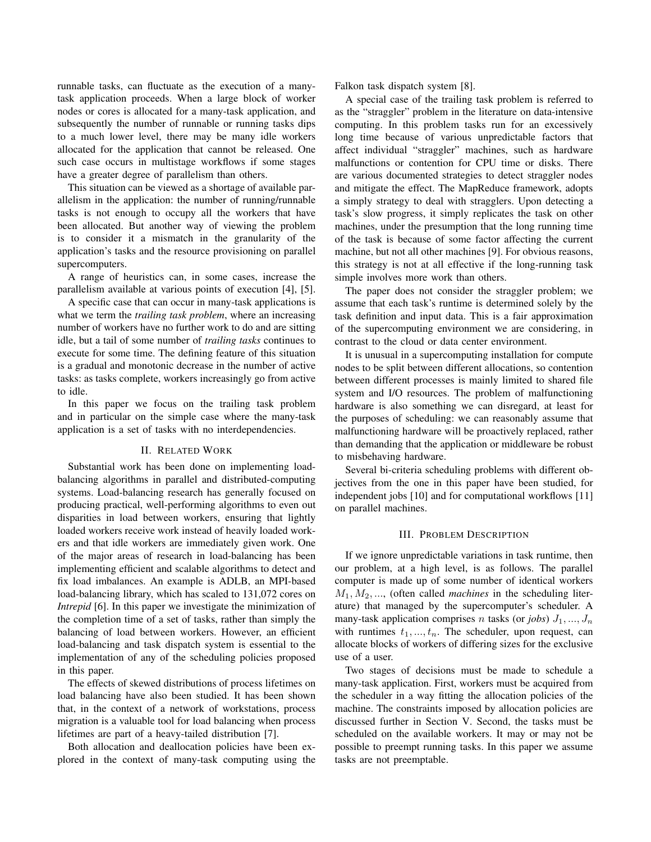runnable tasks, can fluctuate as the execution of a manytask application proceeds. When a large block of worker nodes or cores is allocated for a many-task application, and subsequently the number of runnable or running tasks dips to a much lower level, there may be many idle workers allocated for the application that cannot be released. One such case occurs in multistage workflows if some stages have a greater degree of parallelism than others.

This situation can be viewed as a shortage of available parallelism in the application: the number of running/runnable tasks is not enough to occupy all the workers that have been allocated. But another way of viewing the problem is to consider it a mismatch in the granularity of the application's tasks and the resource provisioning on parallel supercomputers.

A range of heuristics can, in some cases, increase the parallelism available at various points of execution [4], [5].

A specific case that can occur in many-task applications is what we term the *trailing task problem*, where an increasing number of workers have no further work to do and are sitting idle, but a tail of some number of *trailing tasks* continues to execute for some time. The defining feature of this situation is a gradual and monotonic decrease in the number of active tasks: as tasks complete, workers increasingly go from active to idle.

In this paper we focus on the trailing task problem and in particular on the simple case where the many-task application is a set of tasks with no interdependencies.

#### II. RELATED WORK

Substantial work has been done on implementing loadbalancing algorithms in parallel and distributed-computing systems. Load-balancing research has generally focused on producing practical, well-performing algorithms to even out disparities in load between workers, ensuring that lightly loaded workers receive work instead of heavily loaded workers and that idle workers are immediately given work. One of the major areas of research in load-balancing has been implementing efficient and scalable algorithms to detect and fix load imbalances. An example is ADLB, an MPI-based load-balancing library, which has scaled to 131,072 cores on *Intrepid* [6]. In this paper we investigate the minimization of the completion time of a set of tasks, rather than simply the balancing of load between workers. However, an efficient load-balancing and task dispatch system is essential to the implementation of any of the scheduling policies proposed in this paper.

The effects of skewed distributions of process lifetimes on load balancing have also been studied. It has been shown that, in the context of a network of workstations, process migration is a valuable tool for load balancing when process lifetimes are part of a heavy-tailed distribution [7].

Both allocation and deallocation policies have been explored in the context of many-task computing using the Falkon task dispatch system [8].

A special case of the trailing task problem is referred to as the "straggler" problem in the literature on data-intensive computing. In this problem tasks run for an excessively long time because of various unpredictable factors that affect individual "straggler" machines, such as hardware malfunctions or contention for CPU time or disks. There are various documented strategies to detect straggler nodes and mitigate the effect. The MapReduce framework, adopts a simply strategy to deal with stragglers. Upon detecting a task's slow progress, it simply replicates the task on other machines, under the presumption that the long running time of the task is because of some factor affecting the current machine, but not all other machines [9]. For obvious reasons, this strategy is not at all effective if the long-running task simple involves more work than others.

The paper does not consider the straggler problem; we assume that each task's runtime is determined solely by the task definition and input data. This is a fair approximation of the supercomputing environment we are considering, in contrast to the cloud or data center environment.

It is unusual in a supercomputing installation for compute nodes to be split between different allocations, so contention between different processes is mainly limited to shared file system and I/O resources. The problem of malfunctioning hardware is also something we can disregard, at least for the purposes of scheduling: we can reasonably assume that malfunctioning hardware will be proactively replaced, rather than demanding that the application or middleware be robust to misbehaving hardware.

Several bi-criteria scheduling problems with different objectives from the one in this paper have been studied, for independent jobs [10] and for computational workflows [11] on parallel machines.

#### III. PROBLEM DESCRIPTION

If we ignore unpredictable variations in task runtime, then our problem, at a high level, is as follows. The parallel computer is made up of some number of identical workers  $M_1, M_2, \ldots$ , (often called *machines* in the scheduling literature) that managed by the supercomputer's scheduler. A many-task application comprises n tasks (or *jobs*)  $J_1, ..., J_n$ with runtimes  $t_1, \ldots, t_n$ . The scheduler, upon request, can allocate blocks of workers of differing sizes for the exclusive use of a user.

Two stages of decisions must be made to schedule a many-task application. First, workers must be acquired from the scheduler in a way fitting the allocation policies of the machine. The constraints imposed by allocation policies are discussed further in Section V. Second, the tasks must be scheduled on the available workers. It may or may not be possible to preempt running tasks. In this paper we assume tasks are not preemptable.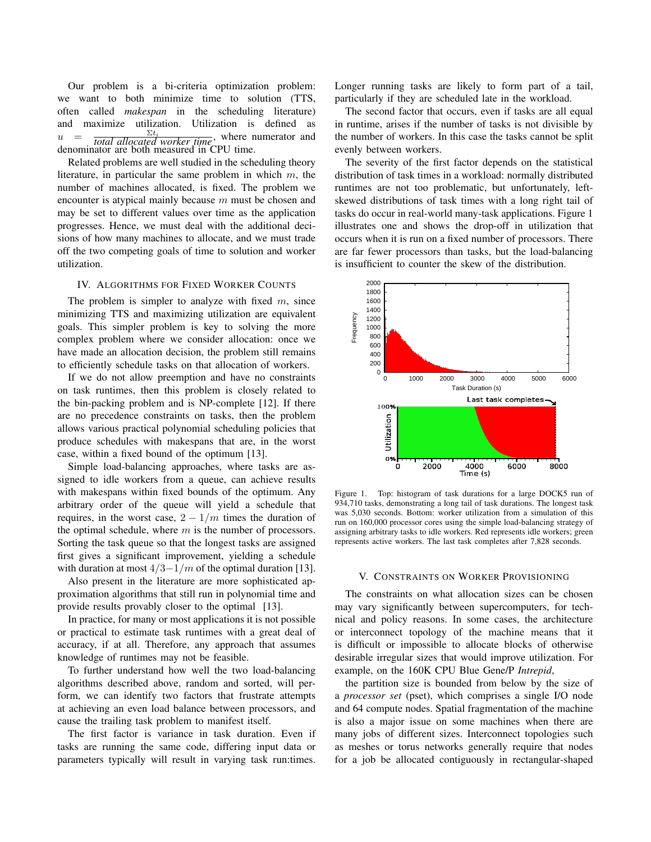Our problem is a bi-criteria optimization problem: we want to both minimize time to solution (TTS, often called *makespan* in the scheduling literature) and maximize utilization. Utilization is defined as  $u =$  $\frac{\Sigma t_i}{\Sigma}$  where numerator and denominator are both measured in CPU time.

Related problems are well studied in the scheduling theory literature, in particular the same problem in which  $m$ , the number of machines allocated, is fixed. The problem we encounter is atypical mainly because  $m$  must be chosen and may be set to different values over time as the application progresses. Hence, we must deal with the additional decisions of how many machines to allocate, and we must trade off the two competing goals of time to solution and worker utilization.

## IV. ALGORITHMS FOR FIXED WORKER COUNTS

The problem is simpler to analyze with fixed  $m$ , since minimizing TTS and maximizing utilization are equivalent goals. This simpler problem is key to solving the more complex problem where we consider allocation: once we have made an allocation decision, the problem still remains to efficiently schedule tasks on that allocation of workers.

If we do not allow preemption and have no constraints on task runtimes, then this problem is closely related to the bin-packing problem and is NP-complete [12]. If there are no precedence constraints on tasks, then the problem allows various practical polynomial scheduling policies that produce schedules with makespans that are, in the worst case, within a fixed bound of the optimum [13].

Simple load-balancing approaches, where tasks are assigned to idle workers from a queue, can achieve results with makespans within fixed bounds of the optimum. Any arbitrary order of the queue will yield a schedule that requires, in the worst case,  $2 - 1/m$  times the duration of the optimal schedule, where  $m$  is the number of processors. Sorting the task queue so that the longest tasks are assigned first gives a significant improvement, yielding a schedule with duration at most  $4/3-1/m$  of the optimal duration [13].

Also present in the literature are more sophisticated approximation algorithms that still run in polynomial time and provide results provably closer to the optimal [13].

In practice, for many or most applications it is not possible or practical to estimate task runtimes with a great deal of accuracy, if at all. Therefore, any approach that assumes knowledge of runtimes may not be feasible.

To further understand how well the two load-balancing algorithms described above, random and sorted, will perform, we can identify two factors that frustrate attempts at achieving an even load balance between processors, and cause the trailing task problem to manifest itself.

The first factor is variance in task duration. Even if tasks are running the same code, differing input data or parameters typically will result in varying task run:times. Longer running tasks are likely to form part of a tail, particularly if they are scheduled late in the workload.

The second factor that occurs, even if tasks are all equal in runtime, arises if the number of tasks is not divisible by the number of workers. In this case the tasks cannot be split evenly between workers.

The severity of the first factor depends on the statistical distribution of task times in a workload: normally distributed runtimes are not too problematic, but unfortunately, leftskewed distributions of task times with a long right tail of tasks do occur in real-world many-task applications. Figure 1 illustrates one and shows the drop-off in utilization that occurs when it is run on a fixed number of processors. There are far fewer processors than tasks, but the load-balancing is insufficient to counter the skew of the distribution.



Figure 1. Top: histogram of task durations for a large DOCK5 run of 934,710 tasks, demonstrating a long tail of task durations. The longest task was 5,030 seconds. Bottom: worker utilization from a simulation of this run on 160,000 processor cores using the simple load-balancing strategy of assigning arbitrary tasks to idle workers. Red represents idle workers; green represents active workers. The last task completes after 7,828 seconds.

#### V. CONSTRAINTS ON WORKER PROVISIONING

The constraints on what allocation sizes can be chosen may vary significantly between supercomputers, for technical and policy reasons. In some cases, the architecture or interconnect topology of the machine means that it is difficult or impossible to allocate blocks of otherwise desirable irregular sizes that would improve utilization. For example, on the 160K CPU Blue Gene/P *Intrepid*,

the partition size is bounded from below by the size of a *processor set* (pset), which comprises a single I/O node and 64 compute nodes. Spatial fragmentation of the machine is also a major issue on some machines when there are many jobs of different sizes. Interconnect topologies such as meshes or torus networks generally require that nodes for a job be allocated contiguously in rectangular-shaped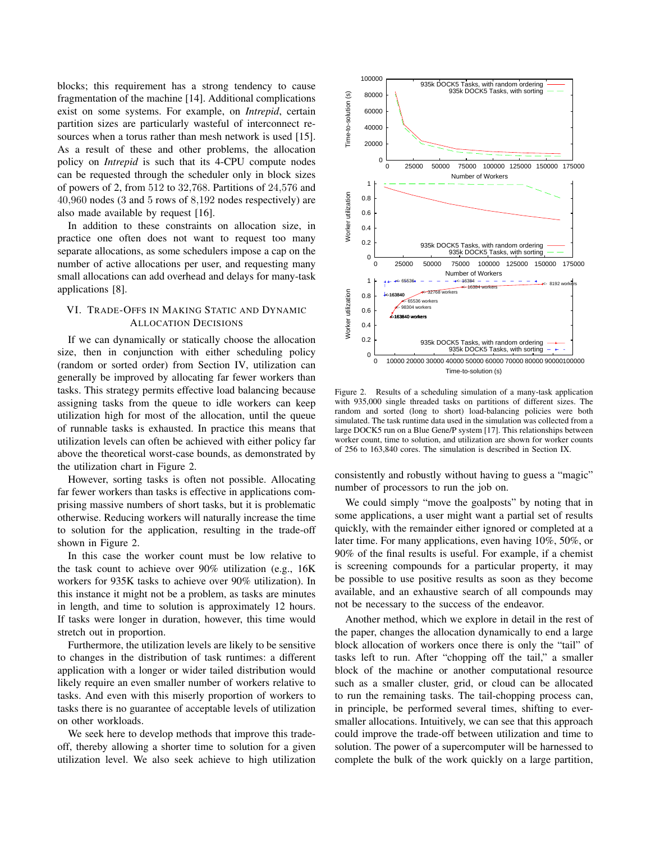blocks; this requirement has a strong tendency to cause fragmentation of the machine [14]. Additional complications exist on some systems. For example, on *Intrepid*, certain partition sizes are particularly wasteful of interconnect resources when a torus rather than mesh network is used [15]. As a result of these and other problems, the allocation policy on *Intrepid* is such that its 4-CPU compute nodes can be requested through the scheduler only in block sizes of powers of 2, from 512 to 32,768. Partitions of 24,576 and 40,960 nodes (3 and 5 rows of 8,192 nodes respectively) are also made available by request [16].

In addition to these constraints on allocation size, in practice one often does not want to request too many separate allocations, as some schedulers impose a cap on the number of active allocations per user, and requesting many small allocations can add overhead and delays for many-task applications [8].

## VI. TRADE-OFFS IN MAKING STATIC AND DYNAMIC ALLOCATION DECISIONS

If we can dynamically or statically choose the allocation size, then in conjunction with either scheduling policy (random or sorted order) from Section IV, utilization can generally be improved by allocating far fewer workers than tasks. This strategy permits effective load balancing because assigning tasks from the queue to idle workers can keep utilization high for most of the allocation, until the queue of runnable tasks is exhausted. In practice this means that utilization levels can often be achieved with either policy far above the theoretical worst-case bounds, as demonstrated by the utilization chart in Figure 2.

However, sorting tasks is often not possible. Allocating far fewer workers than tasks is effective in applications comprising massive numbers of short tasks, but it is problematic otherwise. Reducing workers will naturally increase the time to solution for the application, resulting in the trade-off shown in Figure 2.

In this case the worker count must be low relative to the task count to achieve over 90% utilization (e.g., 16K workers for 935K tasks to achieve over 90% utilization). In this instance it might not be a problem, as tasks are minutes in length, and time to solution is approximately 12 hours. If tasks were longer in duration, however, this time would stretch out in proportion.

Furthermore, the utilization levels are likely to be sensitive to changes in the distribution of task runtimes: a different application with a longer or wider tailed distribution would likely require an even smaller number of workers relative to tasks. And even with this miserly proportion of workers to tasks there is no guarantee of acceptable levels of utilization on other workloads.

We seek here to develop methods that improve this tradeoff, thereby allowing a shorter time to solution for a given utilization level. We also seek achieve to high utilization



Figure 2. Results of a scheduling simulation of a many-task application with 935,000 single threaded tasks on partitions of different sizes. The random and sorted (long to short) load-balancing policies were both simulated. The task runtime data used in the simulation was collected from a large DOCK5 run on a Blue Gene/P system [17]. This relationships between worker count, time to solution, and utilization are shown for worker counts of 256 to 163,840 cores. The simulation is described in Section IX.

consistently and robustly without having to guess a "magic" number of processors to run the job on.

We could simply "move the goalposts" by noting that in some applications, a user might want a partial set of results quickly, with the remainder either ignored or completed at a later time. For many applications, even having 10%, 50%, or 90% of the final results is useful. For example, if a chemist is screening compounds for a particular property, it may be possible to use positive results as soon as they become available, and an exhaustive search of all compounds may not be necessary to the success of the endeavor.

Another method, which we explore in detail in the rest of the paper, changes the allocation dynamically to end a large block allocation of workers once there is only the "tail" of tasks left to run. After "chopping off the tail," a smaller block of the machine or another computational resource such as a smaller cluster, grid, or cloud can be allocated to run the remaining tasks. The tail-chopping process can, in principle, be performed several times, shifting to eversmaller allocations. Intuitively, we can see that this approach could improve the trade-off between utilization and time to solution. The power of a supercomputer will be harnessed to complete the bulk of the work quickly on a large partition,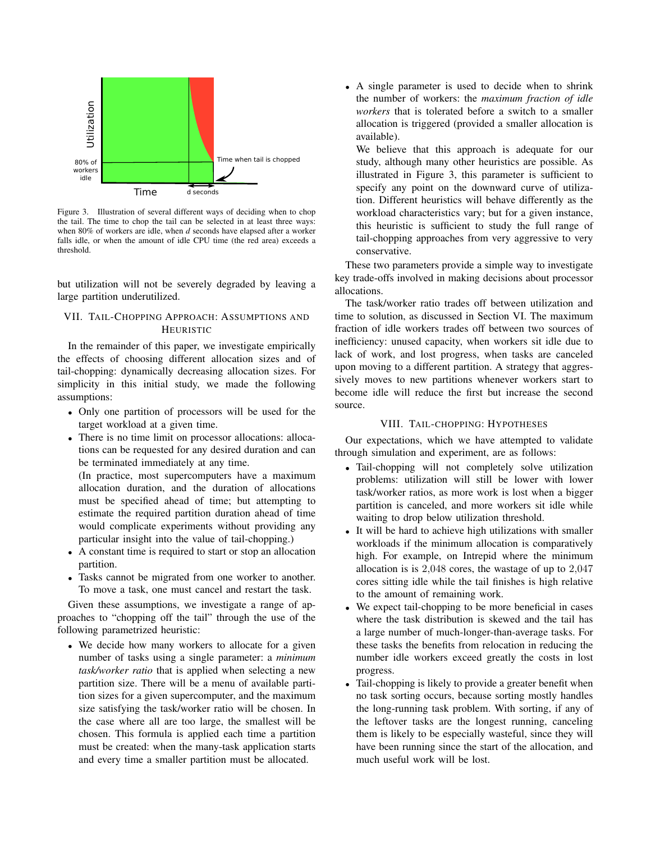

Figure 3. Illustration of several different ways of deciding when to chop the tail. The time to chop the tail can be selected in at least three ways: when 80% of workers are idle, when *d* seconds have elapsed after a worker falls idle, or when the amount of idle CPU time (the red area) exceeds a threshold.

but utilization will not be severely degraded by leaving a large partition underutilized.

## VII. TAIL-CHOPPING APPROACH: ASSUMPTIONS AND HEURISTIC

In the remainder of this paper, we investigate empirically the effects of choosing different allocation sizes and of tail-chopping: dynamically decreasing allocation sizes. For simplicity in this initial study, we made the following assumptions:

- Only one partition of processors will be used for the target workload at a given time.
- There is no time limit on processor allocations: allocations can be requested for any desired duration and can be terminated immediately at any time.

(In practice, most supercomputers have a maximum allocation duration, and the duration of allocations must be specified ahead of time; but attempting to estimate the required partition duration ahead of time would complicate experiments without providing any particular insight into the value of tail-chopping.)

- A constant time is required to start or stop an allocation partition.
- Tasks cannot be migrated from one worker to another. To move a task, one must cancel and restart the task.

Given these assumptions, we investigate a range of approaches to "chopping off the tail" through the use of the following parametrized heuristic:

• We decide how many workers to allocate for a given number of tasks using a single parameter: a *minimum task/worker ratio* that is applied when selecting a new partition size. There will be a menu of available partition sizes for a given supercomputer, and the maximum size satisfying the task/worker ratio will be chosen. In the case where all are too large, the smallest will be chosen. This formula is applied each time a partition must be created: when the many-task application starts and every time a smaller partition must be allocated.

• A single parameter is used to decide when to shrink the number of workers: the *maximum fraction of idle workers* that is tolerated before a switch to a smaller allocation is triggered (provided a smaller allocation is available).

We believe that this approach is adequate for our study, although many other heuristics are possible. As illustrated in Figure 3, this parameter is sufficient to specify any point on the downward curve of utilization. Different heuristics will behave differently as the workload characteristics vary; but for a given instance, this heuristic is sufficient to study the full range of tail-chopping approaches from very aggressive to very conservative.

These two parameters provide a simple way to investigate key trade-offs involved in making decisions about processor allocations.

The task/worker ratio trades off between utilization and time to solution, as discussed in Section VI. The maximum fraction of idle workers trades off between two sources of inefficiency: unused capacity, when workers sit idle due to lack of work, and lost progress, when tasks are canceled upon moving to a different partition. A strategy that aggressively moves to new partitions whenever workers start to become idle will reduce the first but increase the second source.

## VIII. TAIL-CHOPPING: HYPOTHESES

Our expectations, which we have attempted to validate through simulation and experiment, are as follows:

- Tail-chopping will not completely solve utilization problems: utilization will still be lower with lower task/worker ratios, as more work is lost when a bigger partition is canceled, and more workers sit idle while waiting to drop below utilization threshold.
- It will be hard to achieve high utilizations with smaller workloads if the minimum allocation is comparatively high. For example, on Intrepid where the minimum allocation is is 2,048 cores, the wastage of up to 2,047 cores sitting idle while the tail finishes is high relative to the amount of remaining work.
- We expect tail-chopping to be more beneficial in cases where the task distribution is skewed and the tail has a large number of much-longer-than-average tasks. For these tasks the benefits from relocation in reducing the number idle workers exceed greatly the costs in lost progress.
- Tail-chopping is likely to provide a greater benefit when no task sorting occurs, because sorting mostly handles the long-running task problem. With sorting, if any of the leftover tasks are the longest running, canceling them is likely to be especially wasteful, since they will have been running since the start of the allocation, and much useful work will be lost.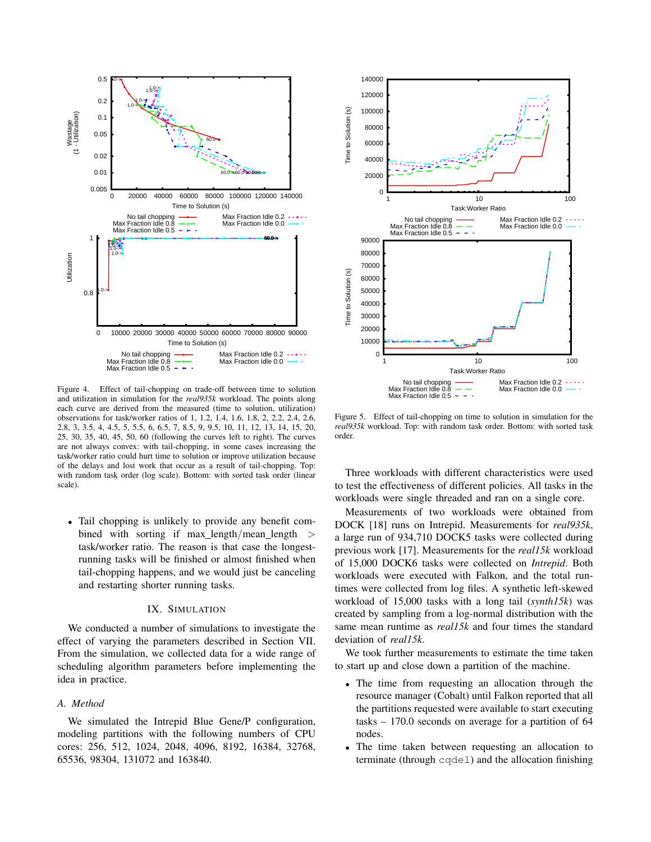

Figure 4. Effect of tail-chopping on trade-off between time to solution and utilization in simulation for the *real935k* workload. The points along each curve are derived from the measured (time to solution, utilization) observations for task/worker ratios of 1, 1.2, 1.4, 1.6, 1.8, 2, 2.2, 2.4, 2.6, 2.8, 3, 3.5, 4, 4.5, 5, 5.5, 6, 6.5, 7, 8.5, 9, 9.5, 10, 11, 12, 13, 14, 15, 20, 25, 30, 35, 40, 45, 50, 60 (following the curves left to right). The curves are not always convex: with tail-chopping, in some cases increasing the task/worker ratio could hurt time to solution or improve utilization because of the delays and lost work that occur as a result of tail-chopping. Top: with random task order (log scale). Bottom: with sorted task order (linear scale)

• Tail chopping is unlikely to provide any benefit combined with sorting if max length/mean length  $>$ task/worker ratio. The reason is that case the longestrunning tasks will be finished or almost finished when tail-chopping happens, and we would just be canceling and restarting shorter running tasks.

#### IX. SIMULATION

We conducted a number of simulations to investigate the effect of varying the parameters described in Section VII. From the simulation, we collected data for a wide range of scheduling algorithm parameters before implementing the idea in practice.

#### *A. Method*

We simulated the Intrepid Blue Gene/P configuration, modeling partitions with the following numbers of CPU cores: 256, 512, 1024, 2048, 4096, 8192, 16384, 32768, 65536, 98304, 131072 and 163840.



Figure 5. Effect of tail-chopping on time to solution in simulation for the *real935k* workload. Top: with random task order. Bottom: with sorted task order.

Three workloads with different characteristics were used to test the effectiveness of different policies. All tasks in the workloads were single threaded and ran on a single core.

Measurements of two workloads were obtained from DOCK [18] runs on Intrepid. Measurements for *real935k*, a large run of 934,710 DOCK5 tasks were collected during previous work [17]. Measurements for the *real15k* workload of 15,000 DOCK6 tasks were collected on *Intrepid*. Both workloads were executed with Falkon, and the total runtimes were collected from log files. A synthetic left-skewed workload of 15,000 tasks with a long tail (*synth15k*) was created by sampling from a log-normal distribution with the same mean runtime as *real15k* and four times the standard deviation of *real15k*.

We took further measurements to estimate the time taken to start up and close down a partition of the machine.

- The time from requesting an allocation through the resource manager (Cobalt) until Falkon reported that all the partitions requested were available to start executing tasks – 170.0 seconds on average for a partition of 64 nodes.
- The time taken between requesting an allocation to terminate (through cqdel) and the allocation finishing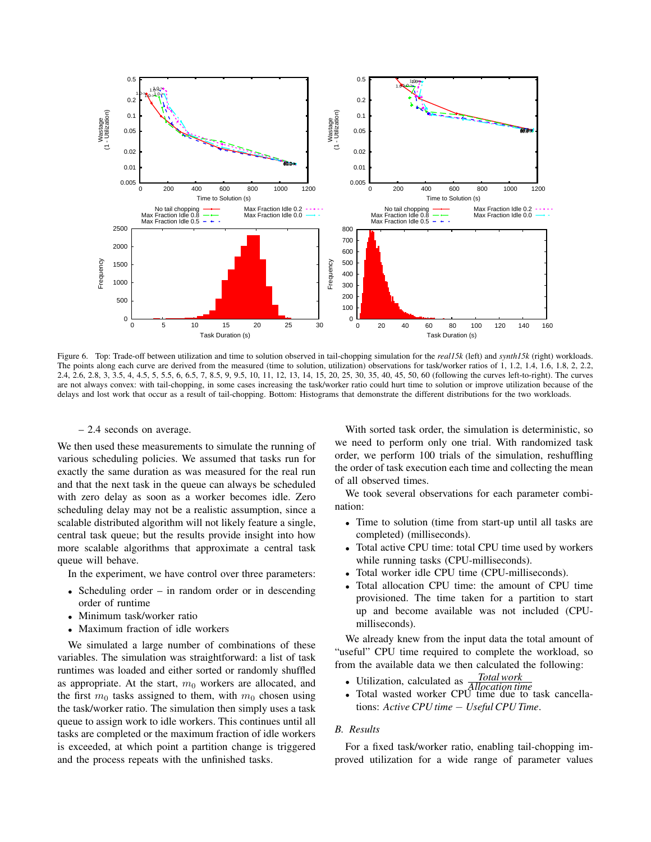

Figure 6. Top: Trade-off between utilization and time to solution observed in tail-chopping simulation for the *real15k* (left) and *synth15k* (right) workloads. The points along each curve are derived from the measured (time to solution, utilization) observations for task/worker ratios of 1, 1.2, 1.4, 1.6, 1.8, 2, 2.2, 2.4, 2.6, 2.8, 3, 3.5, 4, 4.5, 5, 5.5, 6, 6.5, 7, 8.5, 9, 9.5, 10, 11, 12, 13, 14, 15, 20, 25, 30, 35, 40, 45, 50, 60 (following the curves left-to-right). The curves are not always convex: with tail-chopping, in some cases increasing the task/worker ratio could hurt time to solution or improve utilization because of the delays and lost work that occur as a result of tail-chopping. Bottom: Histograms that demonstrate the different distributions for the two workloads.

#### – 2.4 seconds on average.

We then used these measurements to simulate the running of various scheduling policies. We assumed that tasks run for exactly the same duration as was measured for the real run and that the next task in the queue can always be scheduled with zero delay as soon as a worker becomes idle. Zero scheduling delay may not be a realistic assumption, since a scalable distributed algorithm will not likely feature a single, central task queue; but the results provide insight into how more scalable algorithms that approximate a central task queue will behave.

In the experiment, we have control over three parameters:

- Scheduling order in random order or in descending order of runtime
- Minimum task/worker ratio
- Maximum fraction of idle workers

We simulated a large number of combinations of these variables. The simulation was straightforward: a list of task runtimes was loaded and either sorted or randomly shuffled as appropriate. At the start,  $m_0$  workers are allocated, and the first  $m_0$  tasks assigned to them, with  $m_0$  chosen using the task/worker ratio. The simulation then simply uses a task queue to assign work to idle workers. This continues until all tasks are completed or the maximum fraction of idle workers is exceeded, at which point a partition change is triggered and the process repeats with the unfinished tasks.

With sorted task order, the simulation is deterministic, so we need to perform only one trial. With randomized task order, we perform 100 trials of the simulation, reshuffling the order of task execution each time and collecting the mean of all observed times.

We took several observations for each parameter combination:

- Time to solution (time from start-up until all tasks are completed) (milliseconds).
- Total active CPU time: total CPU time used by workers while running tasks (CPU-milliseconds).
- Total worker idle CPU time (CPU-milliseconds).
- Total allocation CPU time: the amount of CPU time provisioned. The time taken for a partition to start up and become available was not included (CPUmilliseconds).

We already knew from the input data the total amount of "useful" CPU time required to complete the workload, so from the available data we then calculated the following:

- Utilization, calculated as *Total work Allocation time*
- Total wasted worker CPU time due to task cancellations: *Active CPU time* − *Useful CPU Time*.

## *B. Results*

For a fixed task/worker ratio, enabling tail-chopping improved utilization for a wide range of parameter values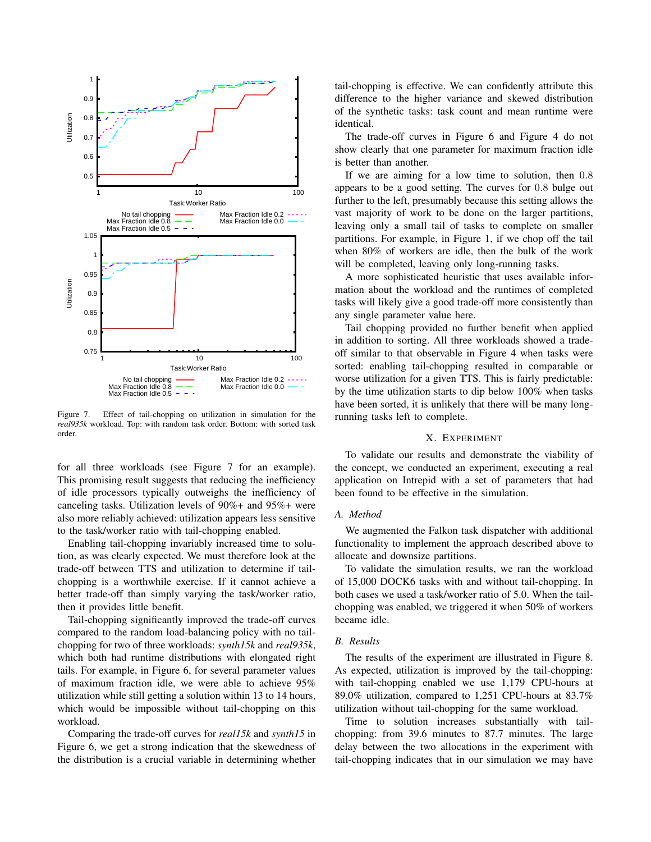

Figure 7. Effect of tail-chopping on utilization in simulation for the *real935k* workload. Top: with random task order. Bottom: with sorted task order.

for all three workloads (see Figure 7 for an example). This promising result suggests that reducing the inefficiency of idle processors typically outweighs the inefficiency of canceling tasks. Utilization levels of 90%+ and 95%+ were also more reliably achieved: utilization appears less sensitive to the task/worker ratio with tail-chopping enabled.

Enabling tail-chopping invariably increased time to solution, as was clearly expected. We must therefore look at the trade-off between TTS and utilization to determine if tailchopping is a worthwhile exercise. If it cannot achieve a better trade-off than simply varying the task/worker ratio, then it provides little benefit.

Tail-chopping significantly improved the trade-off curves compared to the random load-balancing policy with no tailchopping for two of three workloads: *synth15k* and *real935k*, which both had runtime distributions with elongated right tails. For example, in Figure 6, for several parameter values of maximum fraction idle, we were able to achieve 95% utilization while still getting a solution within 13 to 14 hours, which would be impossible without tail-chopping on this workload.

Comparing the trade-off curves for *real15k* and *synth15* in Figure 6, we get a strong indication that the skewedness of the distribution is a crucial variable in determining whether tail-chopping is effective. We can confidently attribute this difference to the higher variance and skewed distribution of the synthetic tasks: task count and mean runtime were identical.

The trade-off curves in Figure 6 and Figure 4 do not show clearly that one parameter for maximum fraction idle is better than another.

If we are aiming for a low time to solution, then 0.8 appears to be a good setting. The curves for 0.8 bulge out further to the left, presumably because this setting allows the vast majority of work to be done on the larger partitions, leaving only a small tail of tasks to complete on smaller partitions. For example, in Figure 1, if we chop off the tail when 80% of workers are idle, then the bulk of the work will be completed, leaving only long-running tasks.

A more sophisticated heuristic that uses available information about the workload and the runtimes of completed tasks will likely give a good trade-off more consistently than any single parameter value here.

Tail chopping provided no further benefit when applied in addition to sorting. All three workloads showed a tradeoff similar to that observable in Figure 4 when tasks were sorted: enabling tail-chopping resulted in comparable or worse utilization for a given TTS. This is fairly predictable: by the time utilization starts to dip below 100% when tasks have been sorted, it is unlikely that there will be many longrunning tasks left to complete.

## X. EXPERIMENT

To validate our results and demonstrate the viability of the concept, we conducted an experiment, executing a real application on Intrepid with a set of parameters that had been found to be effective in the simulation.

#### *A. Method*

We augmented the Falkon task dispatcher with additional functionality to implement the approach described above to allocate and downsize partitions.

To validate the simulation results, we ran the workload of 15,000 DOCK6 tasks with and without tail-chopping. In both cases we used a task/worker ratio of 5.0. When the tailchopping was enabled, we triggered it when 50% of workers became idle.

## *B. Results*

The results of the experiment are illustrated in Figure 8. As expected, utilization is improved by the tail-chopping: with tail-chopping enabled we use 1,179 CPU-hours at 89.0% utilization, compared to 1,251 CPU-hours at 83.7% utilization without tail-chopping for the same workload.

Time to solution increases substantially with tailchopping: from 39.6 minutes to 87.7 minutes. The large delay between the two allocations in the experiment with tail-chopping indicates that in our simulation we may have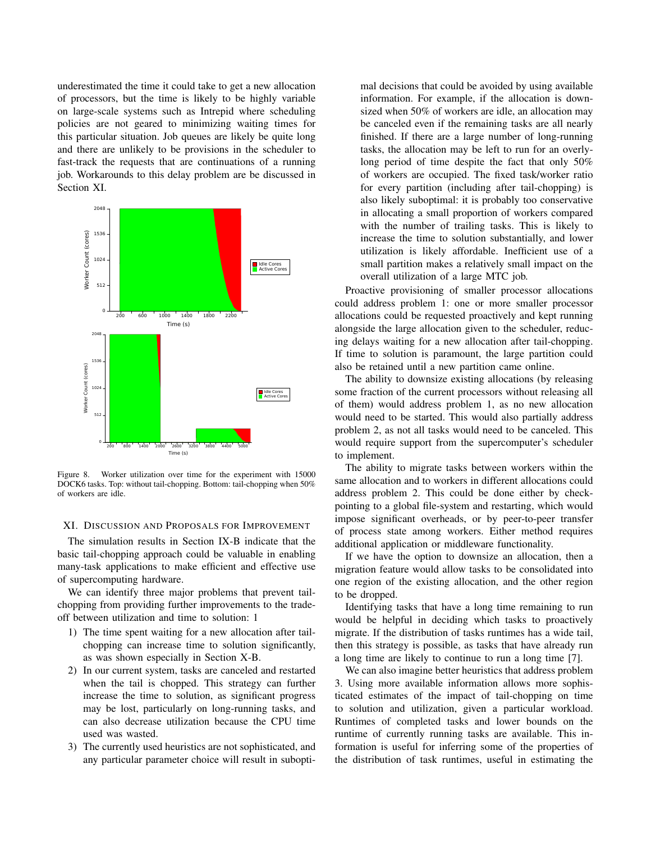underestimated the time it could take to get a new allocation of processors, but the time is likely to be highly variable on large-scale systems such as Intrepid where scheduling policies are not geared to minimizing waiting times for this particular situation. Job queues are likely be quite long and there are unlikely to be provisions in the scheduler to fast-track the requests that are continuations of a running job. Workarounds to this delay problem are be discussed in Section XI.



Figure 8. Worker utilization over time for the experiment with 15000 DOCK6 tasks. Top: without tail-chopping. Bottom: tail-chopping when 50% of workers are idle.

## XI. DISCUSSION AND PROPOSALS FOR IMPROVEMENT

The simulation results in Section IX-B indicate that the basic tail-chopping approach could be valuable in enabling many-task applications to make efficient and effective use of supercomputing hardware.

We can identify three major problems that prevent tailchopping from providing further improvements to the tradeoff between utilization and time to solution: 1

- 1) The time spent waiting for a new allocation after tailchopping can increase time to solution significantly, as was shown especially in Section X-B.
- 2) In our current system, tasks are canceled and restarted when the tail is chopped. This strategy can further increase the time to solution, as significant progress may be lost, particularly on long-running tasks, and can also decrease utilization because the CPU time used was wasted.
- 3) The currently used heuristics are not sophisticated, and any particular parameter choice will result in subopti-

mal decisions that could be avoided by using available information. For example, if the allocation is downsized when 50% of workers are idle, an allocation may be canceled even if the remaining tasks are all nearly finished. If there are a large number of long-running tasks, the allocation may be left to run for an overlylong period of time despite the fact that only 50% of workers are occupied. The fixed task/worker ratio for every partition (including after tail-chopping) is also likely suboptimal: it is probably too conservative in allocating a small proportion of workers compared with the number of trailing tasks. This is likely to increase the time to solution substantially, and lower utilization is likely affordable. Inefficient use of a small partition makes a relatively small impact on the overall utilization of a large MTC job.

Proactive provisioning of smaller processor allocations could address problem 1: one or more smaller processor allocations could be requested proactively and kept running alongside the large allocation given to the scheduler, reducing delays waiting for a new allocation after tail-chopping. If time to solution is paramount, the large partition could also be retained until a new partition came online.

The ability to downsize existing allocations (by releasing some fraction of the current processors without releasing all of them) would address problem 1, as no new allocation would need to be started. This would also partially address problem 2, as not all tasks would need to be canceled. This would require support from the supercomputer's scheduler to implement.

The ability to migrate tasks between workers within the same allocation and to workers in different allocations could address problem 2. This could be done either by checkpointing to a global file-system and restarting, which would impose significant overheads, or by peer-to-peer transfer of process state among workers. Either method requires additional application or middleware functionality.

If we have the option to downsize an allocation, then a migration feature would allow tasks to be consolidated into one region of the existing allocation, and the other region to be dropped.

Identifying tasks that have a long time remaining to run would be helpful in deciding which tasks to proactively migrate. If the distribution of tasks runtimes has a wide tail, then this strategy is possible, as tasks that have already run a long time are likely to continue to run a long time [7].

We can also imagine better heuristics that address problem 3. Using more available information allows more sophisticated estimates of the impact of tail-chopping on time to solution and utilization, given a particular workload. Runtimes of completed tasks and lower bounds on the runtime of currently running tasks are available. This information is useful for inferring some of the properties of the distribution of task runtimes, useful in estimating the